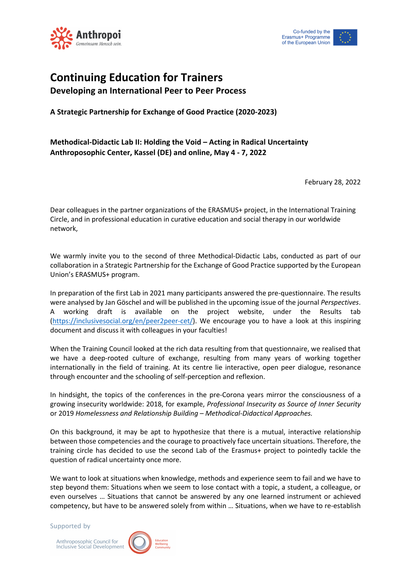



## **Continuing Education for Trainers Developing an International Peer to Peer Process**

**A Strategic Partnership for Exchange of Good Practice (2020-2023)**

## **Methodical-Didactic Lab II: Holding the Void – Acting in Radical Uncertainty Anthroposophic Center, Kassel (DE) and online, May 4 - 7, 2022**

February 28, 2022

Dear colleagues in the partner organizations of the ERASMUS+ project, in the International Training Circle, and in professional education in curative education and social therapy in our worldwide network,

We warmly invite you to the second of three Methodical-Didactic Labs, conducted as part of our collaboration in a Strategic Partnership for the Exchange of Good Practice supported by the European Union's ERASMUS+ program.

In preparation of the first Lab in 2021 many participants answered the pre-questionnaire. The results were analysed by Jan Göschel and will be published in the upcoming issue of the journal *Perspectives*. A working draft is available on the project website, under the Results tab (https://inclusivesocial.org/en/peer2peer-cet/). We encourage you to have a look at this inspiring document and discuss it with colleagues in your faculties!

When the Training Council looked at the rich data resulting from that questionnaire, we realised that we have a deep-rooted culture of exchange, resulting from many years of working together internationally in the field of training. At its centre lie interactive, open peer dialogue, resonance through encounter and the schooling of self-perception and reflexion.

In hindsight, the topics of the conferences in the pre-Corona years mirror the consciousness of a growing insecurity worldwide: 2018, for example, *Professional Insecurity as Source of Inner Security* or 2019 *Homelessness and Relationship Building – Methodical-Didactical Approaches.*

On this background, it may be apt to hypothesize that there is a mutual, interactive relationship between those competencies and the courage to proactively face uncertain situations. Therefore, the training circle has decided to use the second Lab of the Erasmus+ project to pointedly tackle the question of radical uncertainty once more.

We want to look at situations when knowledge, methods and experience seem to fail and we have to step beyond them: Situations when we seem to lose contact with a topic, a student, a colleague, or even ourselves … Situations that cannot be answered by any one learned instrument or achieved competency, but have to be answered solely from within … Situations, when we have to re-establish

Supported by

Anthroposophic Council for **Inclusive Social Development** 

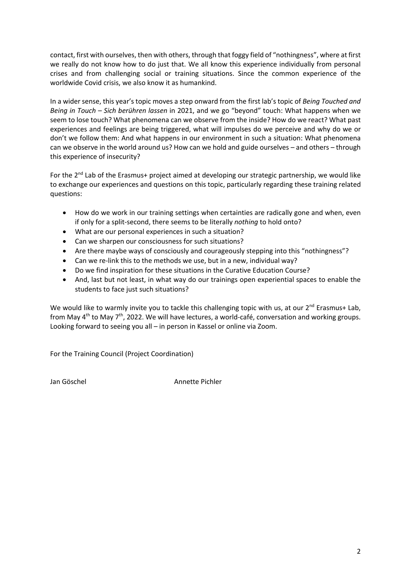contact, first with ourselves, then with others, through that foggy field of "nothingness", where at first we really do not know how to do just that. We all know this experience individually from personal crises and from challenging social or training situations. Since the common experience of the worldwide Covid crisis, we also know it as humankind.

In a wider sense, this year's topic moves a step onward from the first lab's topic of *Being Touched and Being in Touch – Sich berühren lassen* in 2021, and we go "beyond" touch: What happens when we seem to lose touch? What phenomena can we observe from the inside? How do we react? What past experiences and feelings are being triggered, what will impulses do we perceive and why do we or don't we follow them: And what happens in our environment in such a situation: What phenomena can we observe in the world around us? How can we hold and guide ourselves – and others – through this experience of insecurity?

For the 2<sup>nd</sup> Lab of the Erasmus+ project aimed at developing our strategic partnership, we would like to exchange our experiences and questions on this topic, particularly regarding these training related questions:

- How do we work in our training settings when certainties are radically gone and when, even if only for a split-second, there seems to be literally *nothing* to hold onto?
- What are our personal experiences in such a situation?
- Can we sharpen our consciousness for such situations?
- Are there maybe ways of consciously and courageously stepping into this "nothingness"?
- Can we re-link this to the methods we use, but in a new, individual way?
- Do we find inspiration for these situations in the Curative Education Course?
- And, last but not least, in what way do our trainings open experiential spaces to enable the students to face just such situations?

We would like to warmly invite you to tackle this challenging topic with us, at our 2<sup>nd</sup> Erasmus+ Lab, from May  $4<sup>th</sup>$  to May  $7<sup>th</sup>$ , 2022. We will have lectures, a world-café, conversation and working groups. Looking forward to seeing you all – in person in Kassel or online via Zoom.

For the Training Council (Project Coordination)

Jan Göschel Annette Pichler